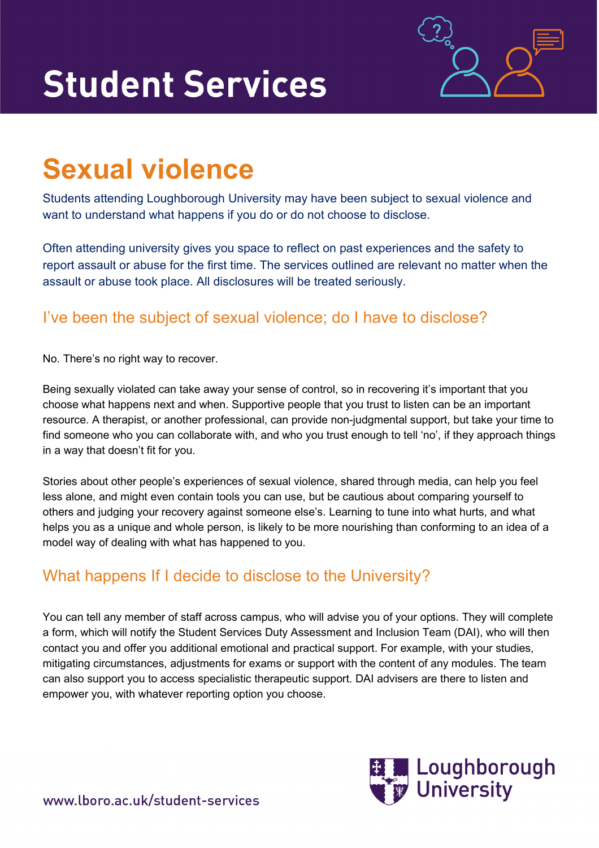# **Student Services**



# **Sexual violence**

Students attending Loughborough University may have been subject to sexual violence and want to understand what happens if you do or do not choose to disclose.

Often attending university gives you space to reflect on past experiences and the safety to report assault or abuse for the first time. The services outlined are relevant no matter when the assault or abuse took place. All disclosures will be treated seriously.

### I've been the subject of sexual violence; do I have to disclose?

No. There's no right way to recover.

Being sexually violated can take away your sense of control, so in recovering it's important that you choose what happens next and when. Supportive people that you trust to listen can be an important resource. A therapist, or another professional, can provide non-judgmental support, but take your time to find someone who you can collaborate with, and who you trust enough to tell 'no', if they approach things in a way that doesn't fit for you.

Stories about other people's experiences of sexual violence, shared through media, can help you feel less alone, and might even contain tools you can use, but be cautious about comparing yourself to others and judging your recovery against someone else's. Learning to tune into what hurts, and what helps you as a unique and whole person, is likely to be more nourishing than conforming to an idea of a model way of dealing with what has happened to you.

## What happens If I decide to disclose to the University?

You can tell any member of staff across campus, who will advise you of your options. They will complete a form, which will notify the Student Services Duty Assessment and Inclusion Team (DAI), who will then contact you and offer you additional emotional and practical support. For example, with your studies, mitigating circumstances, adjustments for exams or support with the content of any modules. The team can also support you to access specialistic therapeutic support. DAI advisers are there to listen and empower you, with whatever reporting option you choose.